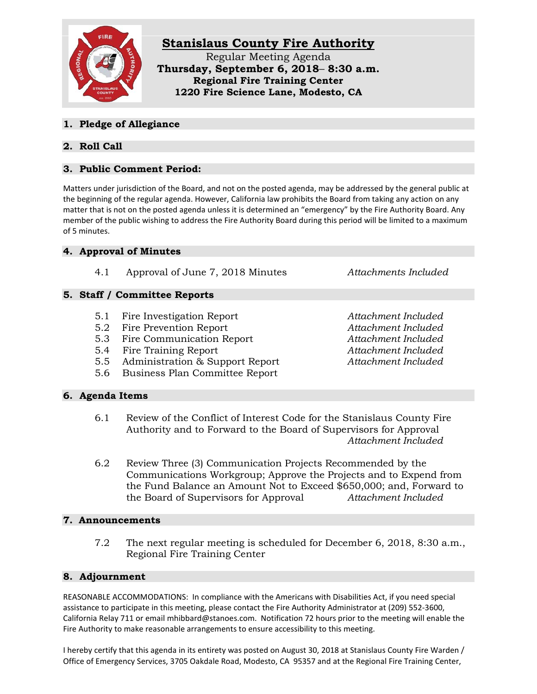

### **1. Pledge of Allegiance**

# **2. Roll Call**

# **3. Public Comment Period:**

Matters under jurisdiction of the Board, and not on the posted agenda, may be addressed by the general public at the beginning of the regular agenda. However, California law prohibits the Board from taking any action on any matter that is not on the posted agenda unless it is determined an "emergency" by the Fire Authority Board. Any member of the public wishing to address the Fire Authority Board during this period will be limited to a maximum of 5 minutes.

## **4. Approval of Minutes**

4.1 Approval of June 7, 2018 Minutes *Attachments Included*

## **5. Staff / Committee Reports**

- 5.1 Fire Investigation Report *Attachment Included*
- 5.2 Fire Prevention Report *Attachment Included*
- 5.3 Fire Communication Report *Attachment Included*
- 5.4 Fire Training Report *Attachment Included*
- 5.5 Administration & Support Report *Attachment Included*
- 5.6 Business Plan Committee Report

**6. Agenda Items**

6.1 Review of the Conflict of Interest Code for the Stanislaus County Fire Authority and to Forward to the Board of Supervisors for Approval *Attachment Included*

6.2 Review Three (3) Communication Projects Recommended by the Communications Workgroup; Approve the Projects and to Expend from the Fund Balance an Amount Not to Exceed \$650,000; and, Forward to the Board of Supervisors for Approval *Attachment Included*

### **7. Announcements**

7.2 The next regular meeting is scheduled for December 6, 2018, 8:30 a.m., Regional Fire Training Center

#### **8. Adjournment**

REASONABLE ACCOMMODATIONS: In compliance with the Americans with Disabilities Act, if you need special assistance to participate in this meeting, please contact the Fire Authority Administrator at (209) 552-3600, California Relay 711 or email mhibbard@stanoes.com. Notification 72 hours prior to the meeting will enable the Fire Authority to make reasonable arrangements to ensure accessibility to this meeting.

I hereby certify that this agenda in its entirety was posted on August 30, 2018 at Stanislaus County Fire Warden / Office of Emergency Services, 3705 Oakdale Road, Modesto, CA 95357 and at the Regional Fire Training Center,